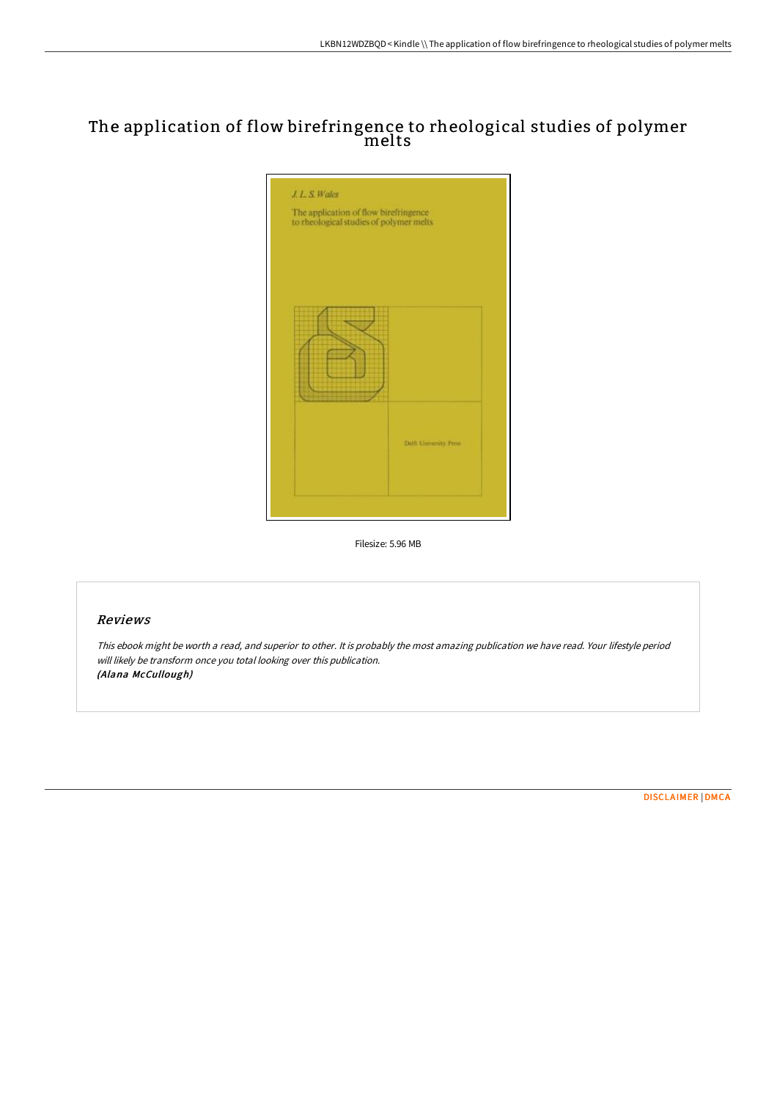# The application of flow birefringence to rheological studies of polymer melts



Filesize: 5.96 MB

## Reviews

This ebook might be worth <sup>a</sup> read, and superior to other. It is probably the most amazing publication we have read. Your lifestyle period will likely be transform once you total looking over this publication. (Alana McCullough)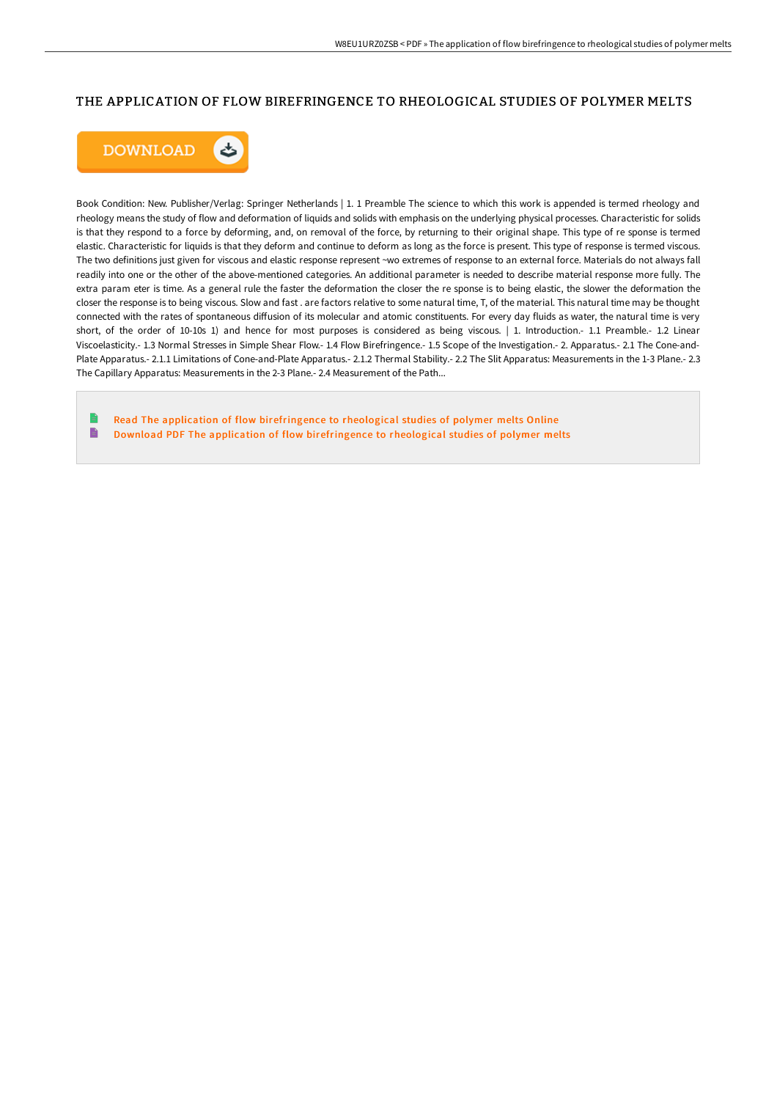## THE APPLICATION OF FLOW BIREFRINGENCE TO RHEOLOGICAL STUDIES OF POLYMER MELTS



Book Condition: New. Publisher/Verlag: Springer Netherlands | 1. 1 Preamble The science to which this work is appended is termed rheology and rheology means the study of flow and deformation of liquids and solids with emphasis on the underlying physical processes. Characteristic for solids is that they respond to a force by deforming, and, on removal of the force, by returning to their original shape. This type of re sponse is termed elastic. Characteristic for liquids is that they deform and continue to deform as long as the force is present. This type of response is termed viscous. The two definitions just given for viscous and elastic response represent ~wo extremes of response to an external force. Materials do not always fall readily into one or the other of the above-mentioned categories. An additional parameter is needed to describe material response more fully. The extra param eter is time. As a general rule the faster the deformation the closer the re sponse is to being elastic, the slower the deformation the closer the response is to being viscous. Slow and fast . are factors relative to some natural time, T, of the material. This natural time may be thought connected with the rates of spontaneous diffusion of its molecular and atomic constituents. For every day fluids as water, the natural time is very short, of the order of 10-10s 1) and hence for most purposes is considered as being viscous. | 1. Introduction.- 1.1 Preamble.- 1.2 Linear Viscoelasticity.- 1.3 Normal Stresses in Simple Shear Flow.- 1.4 Flow Birefringence.- 1.5 Scope of the Investigation.- 2. Apparatus.- 2.1 The Cone-and-Plate Apparatus.- 2.1.1 Limitations of Cone-and-Plate Apparatus.- 2.1.2 Thermal Stability.- 2.2 The Slit Apparatus: Measurements in the 1-3 Plane.- 2.3 The Capillary Apparatus: Measurements in the 2-3 Plane.- 2.4 Measurement of the Path...

Read The application of flow [birefringence](http://bookera.tech/the-application-of-flow-birefringence-to-rheolog.html) to rheological studies of polymer melts Online  $\blacksquare$ Download PDF The application of flow [birefringence](http://bookera.tech/the-application-of-flow-birefringence-to-rheolog.html) to rheological studies of polymer melts